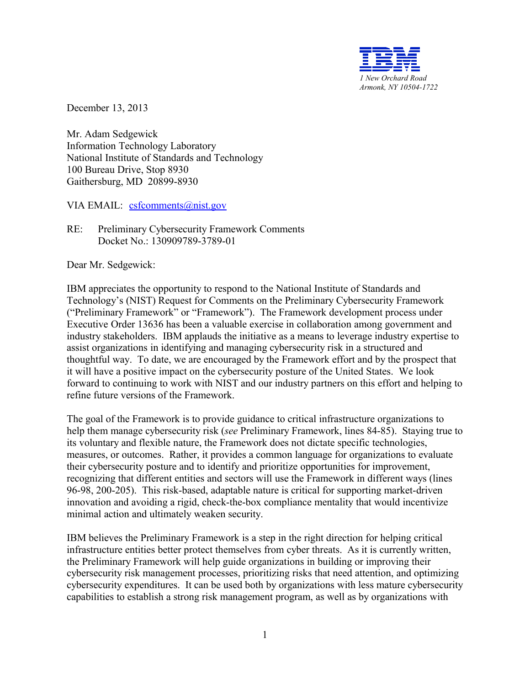

December 13, 2013

Mr. Adam Sedgewick Information Technology Laboratory National Institute of Standards and Technology 100 Bureau Drive, Stop 8930 Gaithersburg, MD 20899-8930

VIA EMAIL: [csfcomments@nist.gov](mailto:csfcomments@nist.gov)

RE: Preliminary Cybersecurity Framework Comments Docket No.: 130909789-3789-01

Dear Mr. Sedgewick:

IBM appreciates the opportunity to respond to the National Institute of Standards and Technology's (NIST) Request for Comments on the Preliminary Cybersecurity Framework ("Preliminary Framework" or "Framework"). The Framework development process under Executive Order 13636 has been a valuable exercise in collaboration among government and industry stakeholders. IBM applauds the initiative as a means to leverage industry expertise to assist organizations in identifying and managing cybersecurity risk in a structured and thoughtful way. To date, we are encouraged by the Framework effort and by the prospect that it will have a positive impact on the cybersecurity posture of the United States. We look forward to continuing to work with NIST and our industry partners on this effort and helping to refine future versions of the Framework.

The goal of the Framework is to provide guidance to critical infrastructure organizations to help them manage cybersecurity risk (*see* Preliminary Framework, lines 84-85). Staying true to its voluntary and flexible nature, the Framework does not dictate specific technologies, measures, or outcomes. Rather, it provides a common language for organizations to evaluate their cybersecurity posture and to identify and prioritize opportunities for improvement, recognizing that different entities and sectors will use the Framework in different ways (lines 96-98, 200-205). This risk-based, adaptable nature is critical for supporting market-driven innovation and avoiding a rigid, check-the-box compliance mentality that would incentivize minimal action and ultimately weaken security.

IBM believes the Preliminary Framework is a step in the right direction for helping critical infrastructure entities better protect themselves from cyber threats. As it is currently written, the Preliminary Framework will help guide organizations in building or improving their cybersecurity risk management processes, prioritizing risks that need attention, and optimizing cybersecurity expenditures. It can be used both by organizations with less mature cybersecurity capabilities to establish a strong risk management program, as well as by organizations with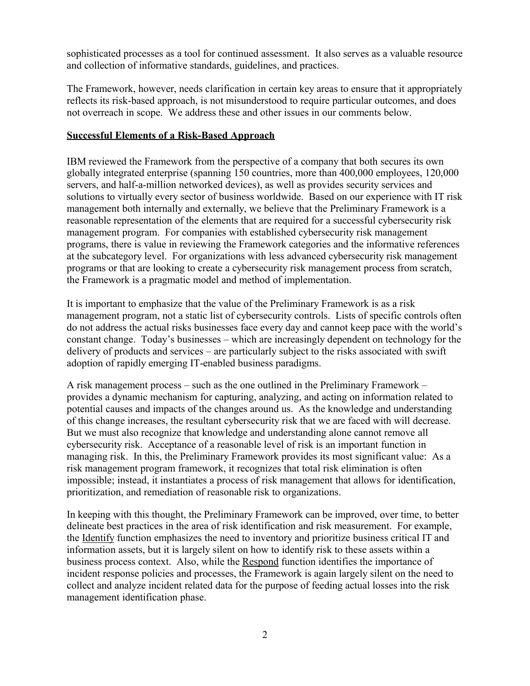sophisticated processes as a tool for continued assessment. It also serves as a valuable resource and collection of informative standards, guidelines, and practices.

The Framework, however, needs clarification in certain key areas to ensure that it appropriately reflects its risk-based approach, is not misunderstood to require particular outcomes, and does not overreach in scope. We address these and other issues in our comments below.

## **Successful Elements of a Risk-Based Approach**

IBM reviewed the Framework from the perspective of a company that both secures its own globally integrated enterprise (spanning 150 countries, more than 400,000 employees, 120,000 servers, and half-a-million networked devices), as well as provides security services and solutions to virtually every sector of business worldwide. Based on our experience with IT risk management both internally and externally, we believe that the Preliminary Framework is a reasonable representation of the elements that are required for a successful cybersecurity risk management program. For companies with established cybersecurity risk management programs, there is value in reviewing the Framework categories and the informative references at the subcategory level. For organizations with less advanced cybersecurity risk management programs or that are looking to create a cybersecurity risk management process from scratch, the Framework is a pragmatic model and method of implementation.

It is important to emphasize that the value of the Preliminary Framework is as a risk management program, not a static list of cybersecurity controls. Lists of specific controls often do not address the actual risks businesses face every day and cannot keep pace with the world's constant change. Today's businesses – which are increasingly dependent on technology for the delivery of products and services – are particularly subject to the risks associated with swift adoption of rapidly emerging IT-enabled business paradigms.

A risk management process – such as the one outlined in the Preliminary Framework – provides a dynamic mechanism for capturing, analyzing, and acting on information related to potential causes and impacts of the changes around us. As the knowledge and understanding of this change increases, the resultant cybersecurity risk that we are faced with will decrease. But we must also recognize that knowledge and understanding alone cannot remove all cybersecurity risk. Acceptance of a reasonable level of risk is an important function in managing risk. In this, the Preliminary Framework provides its most significant value: As a risk management program framework, it recognizes that total risk elimination is often impossible; instead, it instantiates a process of risk management that allows for identification, prioritization, and remediation of reasonable risk to organizations.

In keeping with this thought, the Preliminary Framework can be improved, over time, to better delineate best practices in the area of risk identification and risk measurement. For example, the Identify function emphasizes the need to inventory and prioritize business critical IT and information assets, but it is largely silent on how to identify risk to these assets within a business process context. Also, while the Respond function identifies the importance of incident response policies and processes, the Framework is again largely silent on the need to collect and analyze incident related data for the purpose of feeding actual losses into the risk management identification phase.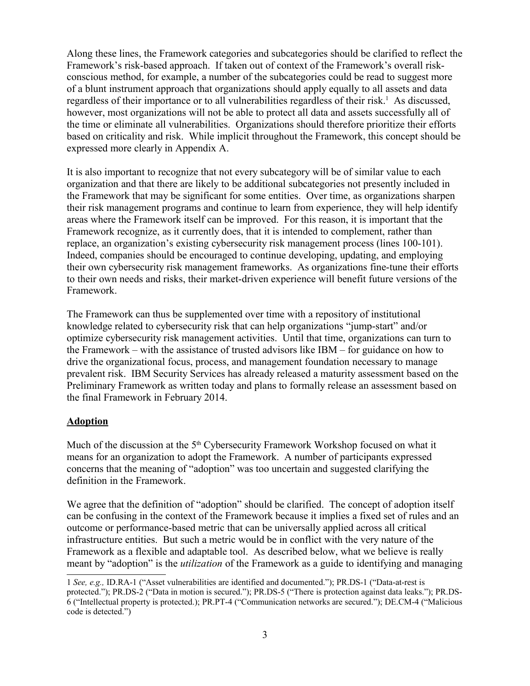Along these lines, the Framework categories and subcategories should be clarified to reflect the Framework's risk-based approach. If taken out of context of the Framework's overall riskconscious method, for example, a number of the subcategories could be read to suggest more of a blunt instrument approach that organizations should apply equally to all assets and data regardless of their importance or to all vulnerabilities regardless of their risk.<sup>[1](#page-2-0)</sup> As discussed, however, most organizations will not be able to protect all data and assets successfully all of the time or eliminate all vulnerabilities. Organizations should therefore prioritize their efforts based on criticality and risk. While implicit throughout the Framework, this concept should be expressed more clearly in Appendix A.

It is also important to recognize that not every subcategory will be of similar value to each organization and that there are likely to be additional subcategories not presently included in the Framework that may be significant for some entities. Over time, as organizations sharpen their risk management programs and continue to learn from experience, they will help identify areas where the Framework itself can be improved. For this reason, it is important that the Framework recognize, as it currently does, that it is intended to complement, rather than replace, an organization's existing cybersecurity risk management process (lines 100-101). Indeed, companies should be encouraged to continue developing, updating, and employing their own cybersecurity risk management frameworks. As organizations fine-tune their efforts to their own needs and risks, their market-driven experience will benefit future versions of the Framework.

The Framework can thus be supplemented over time with a repository of institutional knowledge related to cybersecurity risk that can help organizations "jump-start" and/or optimize cybersecurity risk management activities. Until that time, organizations can turn to the Framework – with the assistance of trusted advisors like IBM – for guidance on how to drive the organizational focus, process, and management foundation necessary to manage prevalent risk. IBM Security Services has already released a maturity assessment based on the Preliminary Framework as written today and plans to formally release an assessment based on the final Framework in February 2014.

#### **Adoption**

Much of the discussion at the  $5<sup>th</sup>$  Cybersecurity Framework Workshop focused on what it means for an organization to adopt the Framework. A number of participants expressed concerns that the meaning of "adoption" was too uncertain and suggested clarifying the definition in the Framework.

We agree that the definition of "adoption" should be clarified. The concept of adoption itself can be confusing in the context of the Framework because it implies a fixed set of rules and an outcome or performance-based metric that can be universally applied across all critical infrastructure entities. But such a metric would be in conflict with the very nature of the Framework as a flexible and adaptable tool. As described below, what we believe is really meant by "adoption" is the *utilization* of the Framework as a guide to identifying and managing

<span id="page-2-0"></span><sup>1</sup> *See, e.g.,* ID.RA-1 ("Asset vulnerabilities are identified and documented."); PR.DS-1 ("Data-at-rest is protected."); PR.DS-2 ("Data in motion is secured."); PR.DS-5 ("There is protection against data leaks."); PR.DS-6 ("Intellectual property is protected.); PR.PT-4 ("Communication networks are secured."); DE.CM-4 ("Malicious code is detected.")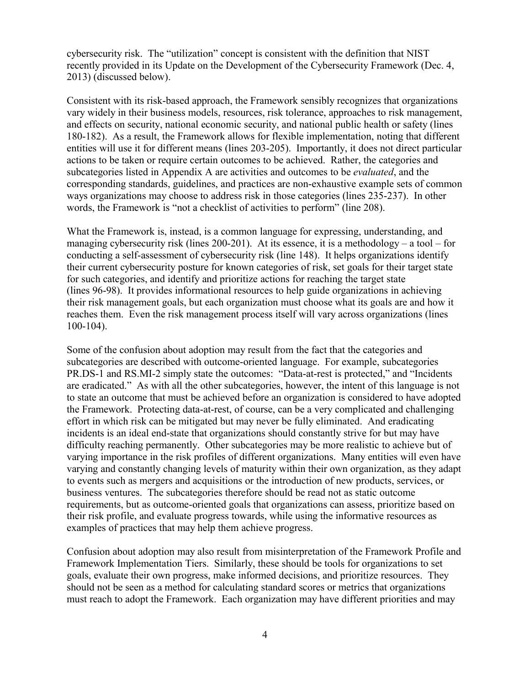cybersecurity risk. The "utilization" concept is consistent with the definition that NIST recently provided in its Update on the Development of the Cybersecurity Framework (Dec. 4, 2013) (discussed below).

Consistent with its risk-based approach, the Framework sensibly recognizes that organizations vary widely in their business models, resources, risk tolerance, approaches to risk management, and effects on security, national economic security, and national public health or safety (lines 180-182). As a result, the Framework allows for flexible implementation, noting that different entities will use it for different means (lines 203-205). Importantly, it does not direct particular actions to be taken or require certain outcomes to be achieved. Rather, the categories and subcategories listed in Appendix A are activities and outcomes to be *evaluated*, and the corresponding standards, guidelines, and practices are non-exhaustive example sets of common ways organizations may choose to address risk in those categories (lines 235-237). In other words, the Framework is "not a checklist of activities to perform" (line 208).

What the Framework is, instead, is a common language for expressing, understanding, and managing cybersecurity risk (lines 200-201). At its essence, it is a methodology – a tool – for conducting a self-assessment of cybersecurity risk (line 148). It helps organizations identify their current cybersecurity posture for known categories of risk, set goals for their target state for such categories, and identify and prioritize actions for reaching the target state (lines 96-98). It provides informational resources to help guide organizations in achieving their risk management goals, but each organization must choose what its goals are and how it reaches them. Even the risk management process itself will vary across organizations (lines 100-104).

Some of the confusion about adoption may result from the fact that the categories and subcategories are described with outcome-oriented language. For example, subcategories PR.DS-1 and RS.MI-2 simply state the outcomes: "Data-at-rest is protected," and "Incidents are eradicated." As with all the other subcategories, however, the intent of this language is not to state an outcome that must be achieved before an organization is considered to have adopted the Framework. Protecting data-at-rest, of course, can be a very complicated and challenging effort in which risk can be mitigated but may never be fully eliminated. And eradicating incidents is an ideal end-state that organizations should constantly strive for but may have difficulty reaching permanently. Other subcategories may be more realistic to achieve but of varying importance in the risk profiles of different organizations. Many entities will even have varying and constantly changing levels of maturity within their own organization, as they adapt to events such as mergers and acquisitions or the introduction of new products, services, or business ventures. The subcategories therefore should be read not as static outcome requirements, but as outcome-oriented goals that organizations can assess, prioritize based on their risk profile, and evaluate progress towards, while using the informative resources as examples of practices that may help them achieve progress.

Confusion about adoption may also result from misinterpretation of the Framework Profile and Framework Implementation Tiers. Similarly, these should be tools for organizations to set goals, evaluate their own progress, make informed decisions, and prioritize resources. They should not be seen as a method for calculating standard scores or metrics that organizations must reach to adopt the Framework. Each organization may have different priorities and may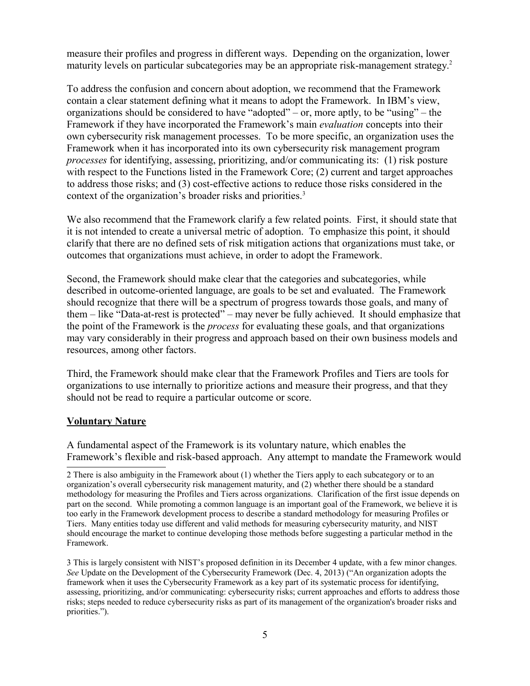measure their profiles and progress in different ways. Depending on the organization, lower maturity levels on particular subcategories may be an appropriate risk-management strategy.<sup>[2](#page-4-0)</sup>

To address the confusion and concern about adoption, we recommend that the Framework contain a clear statement defining what it means to adopt the Framework. In IBM's view, organizations should be considered to have "adopted" – or, more aptly, to be "using" – the Framework if they have incorporated the Framework's main *evaluation* concepts into their own cybersecurity risk management processes. To be more specific, an organization uses the Framework when it has incorporated into its own cybersecurity risk management program *processes* for identifying, assessing, prioritizing, and/or communicating its: (1) risk posture with respect to the Functions listed in the Framework Core; (2) current and target approaches to address those risks; and (3) cost-effective actions to reduce those risks considered in the context of the organization's broader risks and priorities.<sup>[3](#page-4-1)</sup>

We also recommend that the Framework clarify a few related points. First, it should state that it is not intended to create a universal metric of adoption. To emphasize this point, it should clarify that there are no defined sets of risk mitigation actions that organizations must take, or outcomes that organizations must achieve, in order to adopt the Framework.

Second, the Framework should make clear that the categories and subcategories, while described in outcome-oriented language, are goals to be set and evaluated. The Framework should recognize that there will be a spectrum of progress towards those goals, and many of them – like "Data-at-rest is protected" – may never be fully achieved. It should emphasize that the point of the Framework is the *process* for evaluating these goals, and that organizations may vary considerably in their progress and approach based on their own business models and resources, among other factors.

Third, the Framework should make clear that the Framework Profiles and Tiers are tools for organizations to use internally to prioritize actions and measure their progress, and that they should not be read to require a particular outcome or score.

#### **Voluntary Nature**

A fundamental aspect of the Framework is its voluntary nature, which enables the Framework's flexible and risk-based approach. Any attempt to mandate the Framework would

<span id="page-4-0"></span><sup>2</sup> There is also ambiguity in the Framework about (1) whether the Tiers apply to each subcategory or to an organization's overall cybersecurity risk management maturity, and (2) whether there should be a standard methodology for measuring the Profiles and Tiers across organizations. Clarification of the first issue depends on part on the second. While promoting a common language is an important goal of the Framework, we believe it is too early in the Framework development process to describe a standard methodology for measuring Profiles or Tiers. Many entities today use different and valid methods for measuring cybersecurity maturity, and NIST should encourage the market to continue developing those methods before suggesting a particular method in the Framework.

<span id="page-4-1"></span><sup>3</sup> This is largely consistent with NIST's proposed definition in its December 4 update, with a few minor changes. *See* Update on the Development of the Cybersecurity Framework (Dec. 4, 2013) ("An organization adopts the framework when it uses the Cybersecurity Framework as a key part of its systematic process for identifying, assessing, prioritizing, and/or communicating: cybersecurity risks; current approaches and efforts to address those risks; steps needed to reduce cybersecurity risks as part of its management of the organization's broader risks and priorities.").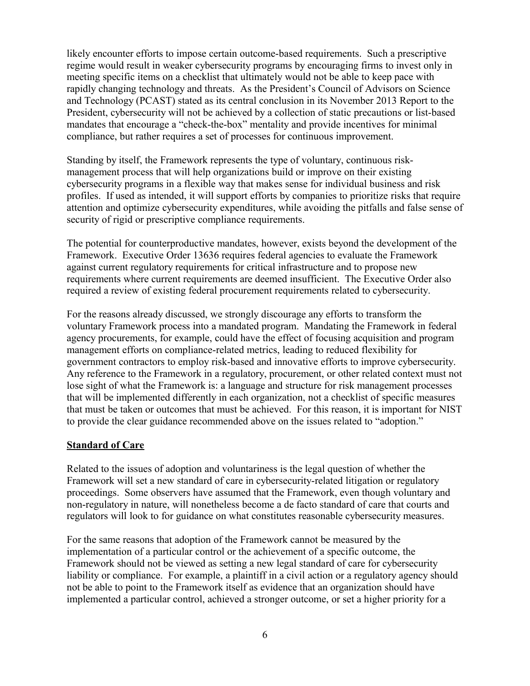likely encounter efforts to impose certain outcome-based requirements. Such a prescriptive regime would result in weaker cybersecurity programs by encouraging firms to invest only in meeting specific items on a checklist that ultimately would not be able to keep pace with rapidly changing technology and threats. As the President's Council of Advisors on Science and Technology (PCAST) stated as its central conclusion in its November 2013 Report to the President, cybersecurity will not be achieved by a collection of static precautions or list-based mandates that encourage a "check-the-box" mentality and provide incentives for minimal compliance, but rather requires a set of processes for continuous improvement.

Standing by itself, the Framework represents the type of voluntary, continuous riskmanagement process that will help organizations build or improve on their existing cybersecurity programs in a flexible way that makes sense for individual business and risk profiles. If used as intended, it will support efforts by companies to prioritize risks that require attention and optimize cybersecurity expenditures, while avoiding the pitfalls and false sense of security of rigid or prescriptive compliance requirements.

The potential for counterproductive mandates, however, exists beyond the development of the Framework. Executive Order 13636 requires federal agencies to evaluate the Framework against current regulatory requirements for critical infrastructure and to propose new requirements where current requirements are deemed insufficient. The Executive Order also required a review of existing federal procurement requirements related to cybersecurity.

For the reasons already discussed, we strongly discourage any efforts to transform the voluntary Framework process into a mandated program. Mandating the Framework in federal agency procurements, for example, could have the effect of focusing acquisition and program management efforts on compliance-related metrics, leading to reduced flexibility for government contractors to employ risk-based and innovative efforts to improve cybersecurity. Any reference to the Framework in a regulatory, procurement, or other related context must not lose sight of what the Framework is: a language and structure for risk management processes that will be implemented differently in each organization, not a checklist of specific measures that must be taken or outcomes that must be achieved. For this reason, it is important for NIST to provide the clear guidance recommended above on the issues related to "adoption."

### **Standard of Care**

Related to the issues of adoption and voluntariness is the legal question of whether the Framework will set a new standard of care in cybersecurity-related litigation or regulatory proceedings. Some observers have assumed that the Framework, even though voluntary and non-regulatory in nature, will nonetheless become a de facto standard of care that courts and regulators will look to for guidance on what constitutes reasonable cybersecurity measures.

For the same reasons that adoption of the Framework cannot be measured by the implementation of a particular control or the achievement of a specific outcome, the Framework should not be viewed as setting a new legal standard of care for cybersecurity liability or compliance. For example, a plaintiff in a civil action or a regulatory agency should not be able to point to the Framework itself as evidence that an organization should have implemented a particular control, achieved a stronger outcome, or set a higher priority for a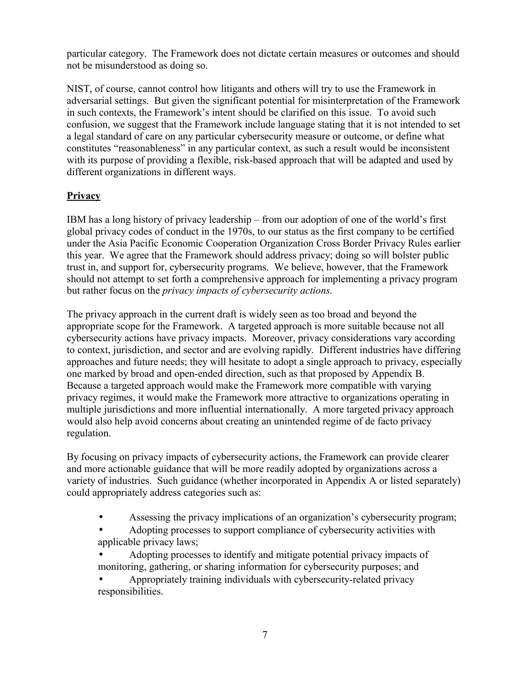particular category. The Framework does not dictate certain measures or outcomes and should not be misunderstood as doing so.

NIST, of course, cannot control how litigants and others will try to use the Framework in adversarial settings. But given the significant potential for misinterpretation of the Framework in such contexts, the Framework's intent should be clarified on this issue. To avoid such confusion, we suggest that the Framework include language stating that it is not intended to set a legal standard of care on any particular cybersecurity measure or outcome, or define what constitutes "reasonableness" in any particular context, as such a result would be inconsistent with its purpose of providing a flexible, risk-based approach that will be adapted and used by different organizations in different ways.

# **Privacy**

IBM has a long history of privacy leadership – from our adoption of one of the world's first global privacy codes of conduct in the 1970s, to our status as the first company to be certified under the Asia Pacific Economic Cooperation Organization Cross Border Privacy Rules earlier this year. We agree that the Framework should address privacy; doing so will bolster public trust in, and support for, cybersecurity programs. We believe, however, that the Framework should not attempt to set forth a comprehensive approach for implementing a privacy program but rather focus on the *privacy impacts of cybersecurity actions.*

The privacy approach in the current draft is widely seen as too broad and beyond the appropriate scope for the Framework. A targeted approach is more suitable because not all cybersecurity actions have privacy impacts. Moreover, privacy considerations vary according to context, jurisdiction, and sector and are evolving rapidly. Different industries have differing approaches and future needs; they will hesitate to adopt a single approach to privacy, especially one marked by broad and open-ended direction, such as that proposed by Appendix B. Because a targeted approach would make the Framework more compatible with varying privacy regimes, it would make the Framework more attractive to organizations operating in multiple jurisdictions and more influential internationally. A more targeted privacy approach would also help avoid concerns about creating an unintended regime of de facto privacy regulation.

By focusing on privacy impacts of cybersecurity actions, the Framework can provide clearer and more actionable guidance that will be more readily adopted by organizations across a variety of industries. Such guidance (whether incorporated in Appendix A or listed separately) could appropriately address categories such as:

- Assessing the privacy implications of an organization's cybersecurity program;
- Adopting processes to support compliance of cybersecurity activities with applicable privacy laws;
- Adopting processes to identify and mitigate potential privacy impacts of monitoring, gathering, or sharing information for cybersecurity purposes; and
- Appropriately training individuals with cybersecurity-related privacy responsibilities.